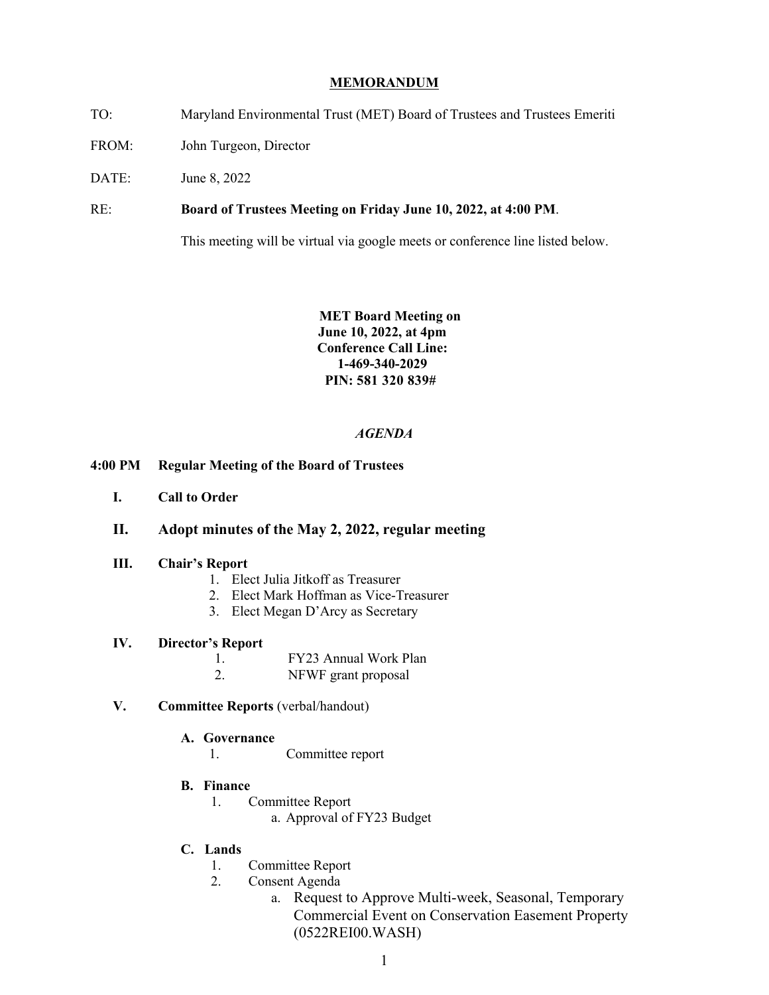### **MEMORANDUM**

- TO: Maryland Environmental Trust (MET) Board of Trustees and Trustees Emeriti
- FROM: John Turgeon, Director
- DATE: June 8, 2022

 $RE:$ Board of Trustees Meeting on Friday June 10, 2022, at 4:00 PM.

This meeting will be virtual via google meets or conference line listed below.

 **Conference Call Line: MET Board Meeting on June 10, 2022, at 4pm 1-469-340-2029 PIN: 581 320 839#** 

#### *AGENDA*

- **4:00 PM Regular Meeting of the Board of Trustees** 
	- **I. Call to Order**

### **II. Adopt minutes of the May 2, 2022, regular meeting**

### **III. Chair's Report**

- 1. Elect Julia Jitkoff as Treasurer
- 2. Elect Mark Hoffman as Vice-Treasurer
- 3. Elect Megan D'Arcy as Secretary

# **IV. Director's Report**

- 1. FY23 Annual Work Plan
- 2. NFWF grant proposal

## **V. Committee Reports** (verbal/handout)

- **A. Governance** 
	- 1. Committee report
- **B. Finance** 
	- 1. Committee Report
		- a. Approval of FY23 Budget
- **C. Lands** 
	- 1. Committee Report
	- 2. Consent Agenda
		- a. Request to Approve Multi-week, Seasonal, Temporary Commercial Event on Conservation Easement Property (0522REI00.WASH)